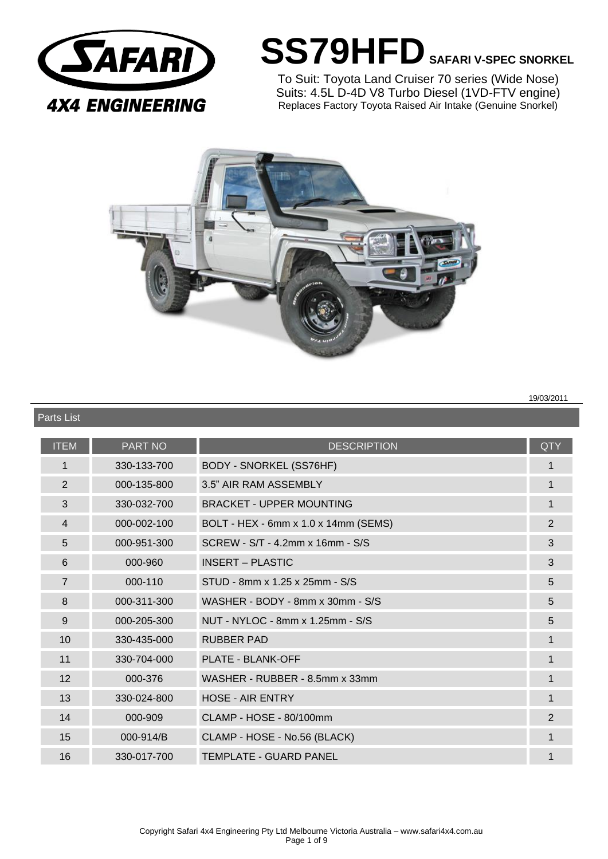

Parts List

# **SS79HFDSAFARI V-SPEC SNORKEL**

To Suit: Toyota Land Cruiser 70 series (Wide Nose) Suits: 4.5L D-4D V8 Turbo Diesel (1VD-FTV engine) Replaces Factory Toyota Raised Air Intake (Genuine Snorkel)



**19/03/2011 19/03/2011** 

| <b>ITEM</b>    | <b>PART NO</b> | <b>DESCRIPTION</b>                   | <b>QTY</b>     |
|----------------|----------------|--------------------------------------|----------------|
| $\mathbf 1$    | 330-133-700    | <b>BODY - SNORKEL (SS76HF)</b>       | 1              |
| 2              | 000-135-800    | 3.5" AIR RAM ASSEMBLY                | $\mathbf 1$    |
| 3              | 330-032-700    | <b>BRACKET - UPPER MOUNTING</b>      | $\mathbf{1}$   |
| 4              | 000-002-100    | BOLT - HEX - 6mm x 1.0 x 14mm (SEMS) | $\overline{2}$ |
| 5              | 000-951-300    | SCREW - S/T - 4.2mm x 16mm - S/S     | 3              |
| $6\phantom{1}$ | 000-960        | <b>INSERT - PLASTIC</b>              | 3              |
| $\overline{7}$ | 000-110        | STUD - 8mm x 1.25 x 25mm - S/S       | 5              |
| 8              | 000-311-300    | WASHER - BODY - 8mm x 30mm - S/S     | 5              |
| 9              | 000-205-300    | NUT - NYLOC - 8mm x 1.25mm - S/S     | 5              |
| 10             | 330-435-000    | <b>RUBBER PAD</b>                    | 1              |
| 11             | 330-704-000    | <b>PLATE - BLANK-OFF</b>             | $\mathbf 1$    |
| 12             | 000-376        | WASHER - RUBBER - 8.5mm x 33mm       | $\mathbf 1$    |
| 13             | 330-024-800    | HOSE - AIR ENTRY                     | $\mathbf{1}$   |
| 14             | 000-909        | CLAMP - HOSE - 80/100mm              | $\overline{2}$ |
| 15             | 000-914/B      | CLAMP - HOSE - No.56 (BLACK)         | 1              |
| 16             | 330-017-700    | <b>TEMPLATE - GUARD PANEL</b>        |                |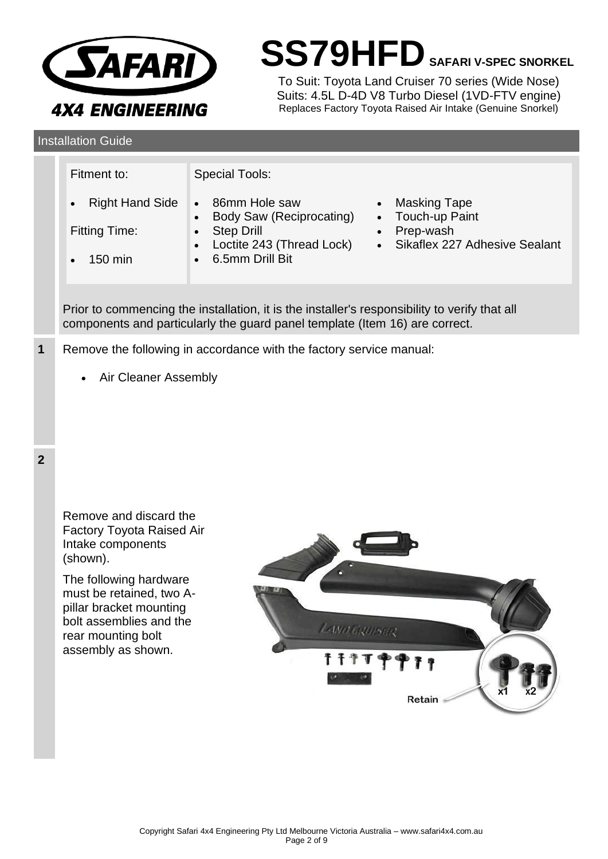

**SS79HFDSAFARI V-SPEC SNORKEL**

To Suit: Toyota Land Cruiser 70 series (Wide Nose) Suits: 4.5L D-4D V8 Turbo Diesel (1VD-FTV engine) Replaces Factory Toyota Raised Air Intake (Genuine Snorkel)

**Installation Guide** 

|                | Fitment to:<br><b>Right Hand Side</b><br><b>Fitting Time:</b><br>150 min                                                                                                                                                                     | <b>Special Tools:</b><br>86mm Hole saw<br><b>Masking Tape</b><br>$\bullet$<br>Touch-up Paint<br><b>Body Saw (Reciprocating)</b><br>$\bullet$<br>Prep-wash<br><b>Step Drill</b><br>$\bullet$<br>Loctite 243 (Thread Lock)<br>Sikaflex 227 Adhesive Sealant<br>$\bullet$<br>6.5mm Drill Bit<br>$\bullet$<br>Prior to commencing the installation, it is the installer's responsibility to verify that all<br>components and particularly the guard panel template (Item 16) are correct. |  |  |  |
|----------------|----------------------------------------------------------------------------------------------------------------------------------------------------------------------------------------------------------------------------------------------|----------------------------------------------------------------------------------------------------------------------------------------------------------------------------------------------------------------------------------------------------------------------------------------------------------------------------------------------------------------------------------------------------------------------------------------------------------------------------------------|--|--|--|
| 1              | Remove the following in accordance with the factory service manual:<br>Air Cleaner Assembly<br>$\bullet$                                                                                                                                     |                                                                                                                                                                                                                                                                                                                                                                                                                                                                                        |  |  |  |
| $\overline{2}$ | Remove and discard the<br>Factory Toyota Raised Air<br>Intake components<br>(shown).<br>The following hardware<br>must be retained, two A-<br>pillar bracket mounting<br>bolt assemblies and the<br>rear mounting bolt<br>assembly as shown. | LAVOURUSER<br><b>TTTP4</b><br>P 7 9<br>ĸ1<br>Retain                                                                                                                                                                                                                                                                                                                                                                                                                                    |  |  |  |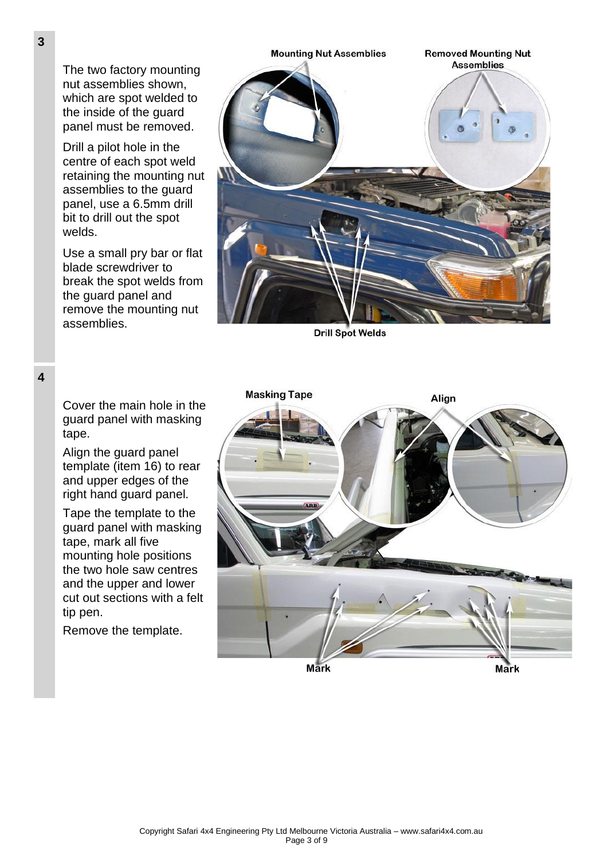The two factory mounting nut assemblies shown, which are spot welded to the inside of the guard panel must be removed.

Drill a pilot hole in the centre of each spot weld retaining the mounting nut assemblies to the guard panel, use a 6.5mm drill bit to drill out the spot welds.

Use a small pry bar or flat blade screwdriver to break the spot welds from the guard panel and remove the mounting nut assemblies.



**Drill Spot Welds** 

**4**

Cover the main hole in the guard panel with masking tape.

Align the guard panel template (item 16) to rear and upper edges of the right hand guard panel.

Tape the template to the guard panel with masking tape, mark all five mounting hole positions the two hole saw centres and the upper and lower cut out sections with a felt tip pen.

Remove the template.

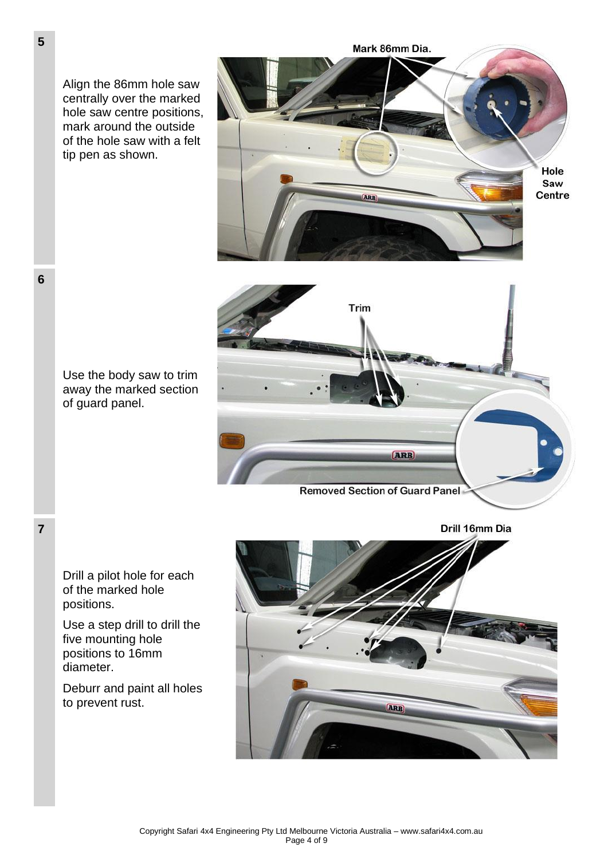Align the 86mm hole saw centrally over the marked hole saw centre positions, mark around the outside of the hole saw with a felt tip pen as shown.





**Removed Section of Guard Panel** 



Drill a pilot hole for each of the marked hole positions.

Use a step drill to drill the five mounting hole positions to 16mm diameter.

Deburr and paint all holes to prevent rust.



**6**

**7**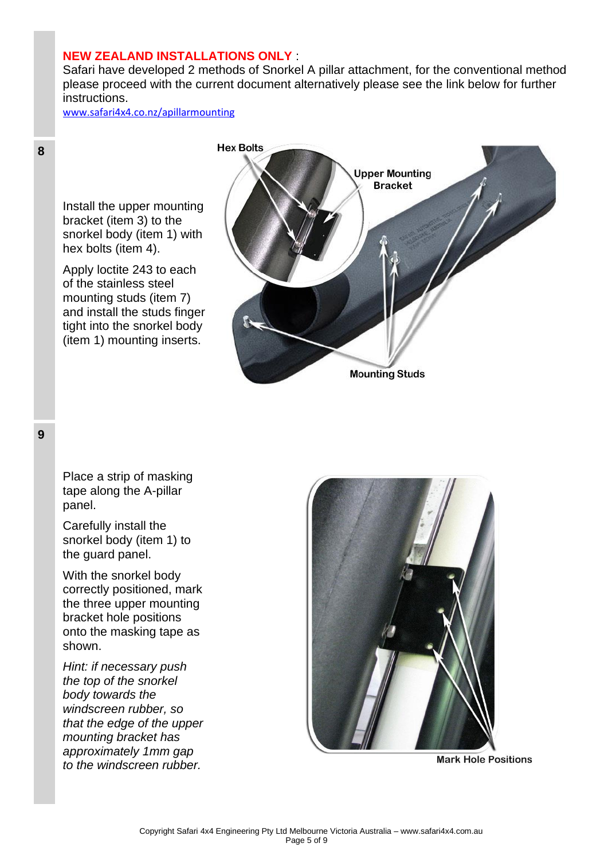### **NEW ZEALAND INSTALLATIONS ONLY** :

Safari have developed 2 methods of Snorkel A pillar attachment, for the conventional method please proceed with the current document alternatively please see the link below for further instructions.

[www.safari4x4.co.nz/apillarmounting](http://www.safari4x4.co.nz/apillarmounting)

Install the upper mounting bracket (item 3) to the snorkel body (item 1) with hex bolts (item 4).

Apply loctite 243 to each of the stainless steel mounting studs (item 7) and install the studs finger tight into the snorkel body (item 1) mounting inserts.



**9**

**8**

Place a strip of masking tape along the A-pillar panel.

Carefully install the snorkel body (item 1) to the guard panel.

With the snorkel body correctly positioned, mark the three upper mounting bracket hole positions onto the masking tape as shown.

*Hint: if necessary push the top of the snorkel body towards the windscreen rubber, so that the edge of the upper mounting bracket has approximately 1mm gap to the windscreen rubber.*



**Mark Hole Positions**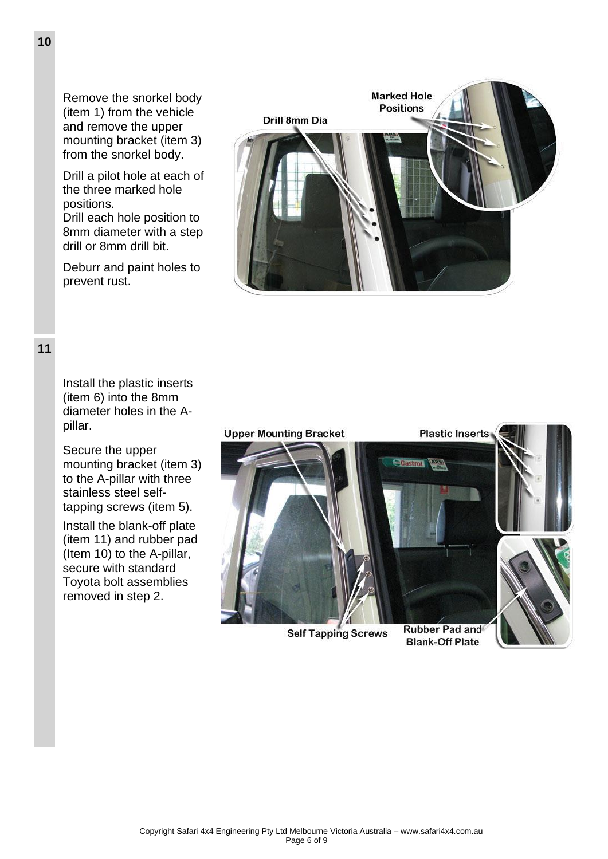Remove the snorkel body (item 1) from the vehicle and remove the upper mounting bracket (item 3) from the snorkel body.

Drill a pilot hole at each of the three marked hole positions. Drill each hole position to 8mm diameter with a step

drill or 8mm drill bit.

Deburr and paint holes to prevent rust.



**11**

Install the plastic inserts (item 6) into the 8mm diameter holes in the Apillar.

Secure the upper mounting bracket (item 3) to the A-pillar with three stainless steel selftapping screws (item 5).

Install the blank-off plate (item 11) and rubber pad (Item 10) to the A-pillar, secure with standard Toyota bolt assemblies removed in step 2.



**Self Tapping Screws** 

**Rubber Pad and Blank-Off Plate** 

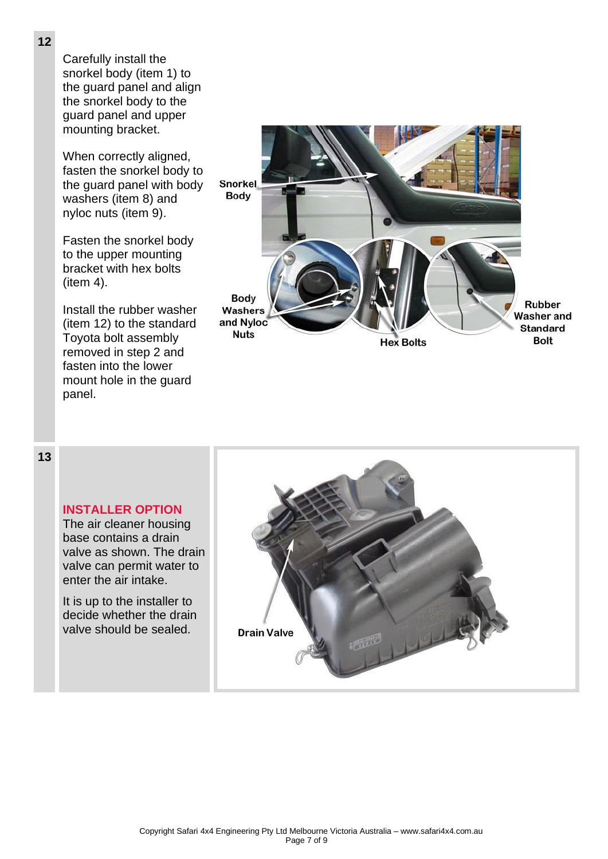Carefully install the snorkel body (item 1) to the guard panel and align the snorkel body to the guard panel and upper mounting bracket.

When correctly aligned, fasten the snorkel body to the guard panel with body washers (item 8) and nyloc nuts (item 9).

Fasten the snorkel body to the upper mounting bracket with hex bolts (item 4).

Install the rubber washer (item 12) to the standard Toyota bolt assembly removed in step 2 and fasten into the lower mount hole in the guard panel.



## **13**

### **INSTALLER OPTION**

The air cleaner housing base contains a drain valve as shown. The drain valve can permit water to enter the air intake.

It is up to the installer to decide whether the drain valve should be sealed.

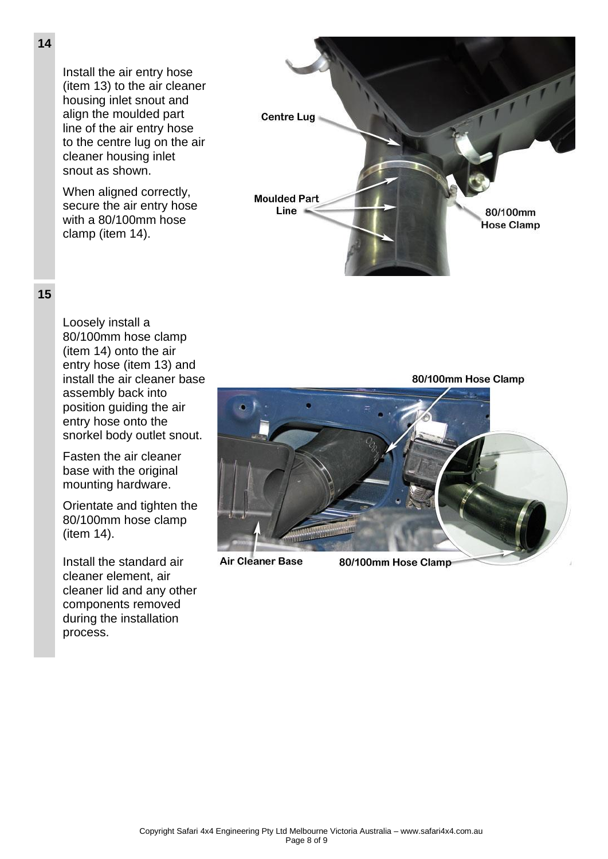Install the air entry hose (item 13) to the air cleaner housing inlet snout and align the moulded part line of the air entry hose to the centre lug on the air cleaner housing inlet snout as shown.

When aligned correctly, secure the air entry hose with a 80/100mm hose clamp (item 14).



# **15**

Loosely install a 80/100mm hose clamp (item 14) onto the air entry hose (item 13) and install the air cleaner base assembly back into position guiding the air entry hose onto the snorkel body outlet snout.

Fasten the air cleaner base with the original mounting hardware.

Orientate and tighten the 80/100mm hose clamp (item 14).

Install the standard air cleaner element, air cleaner lid and any other components removed during the installation process.

80/100mm Hose Clamp

**Air Cleaner Base** 

80/100mm Hose Clamp